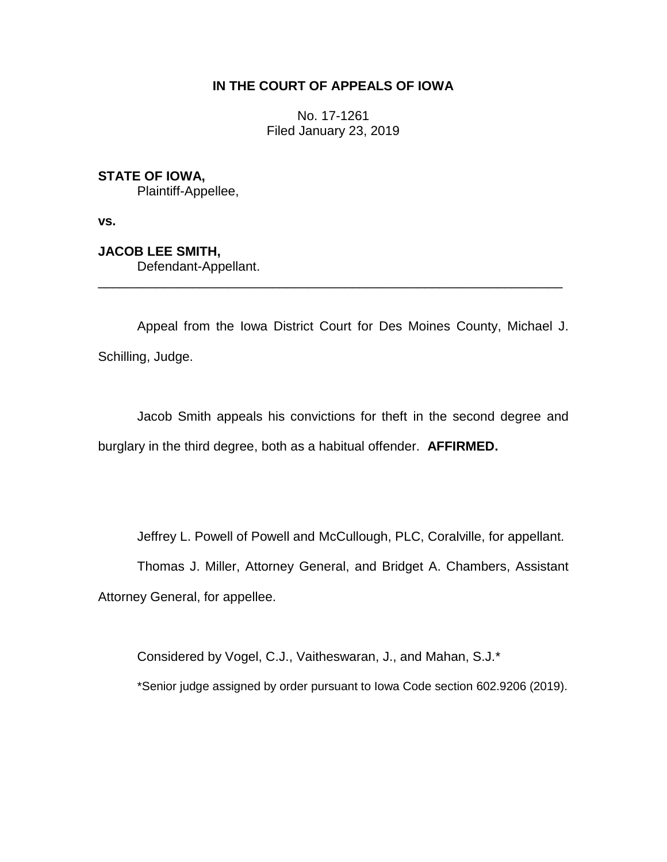## **IN THE COURT OF APPEALS OF IOWA**

No. 17-1261 Filed January 23, 2019

## **STATE OF IOWA,**

Plaintiff-Appellee,

**vs.**

**JACOB LEE SMITH,**

Defendant-Appellant.

Appeal from the Iowa District Court for Des Moines County, Michael J. Schilling, Judge.

\_\_\_\_\_\_\_\_\_\_\_\_\_\_\_\_\_\_\_\_\_\_\_\_\_\_\_\_\_\_\_\_\_\_\_\_\_\_\_\_\_\_\_\_\_\_\_\_\_\_\_\_\_\_\_\_\_\_\_\_\_\_\_\_

Jacob Smith appeals his convictions for theft in the second degree and burglary in the third degree, both as a habitual offender. **AFFIRMED.**

Jeffrey L. Powell of Powell and McCullough, PLC, Coralville, for appellant.

Thomas J. Miller, Attorney General, and Bridget A. Chambers, Assistant Attorney General, for appellee.

Considered by Vogel, C.J., Vaitheswaran, J., and Mahan, S.J.\*

\*Senior judge assigned by order pursuant to Iowa Code section 602.9206 (2019).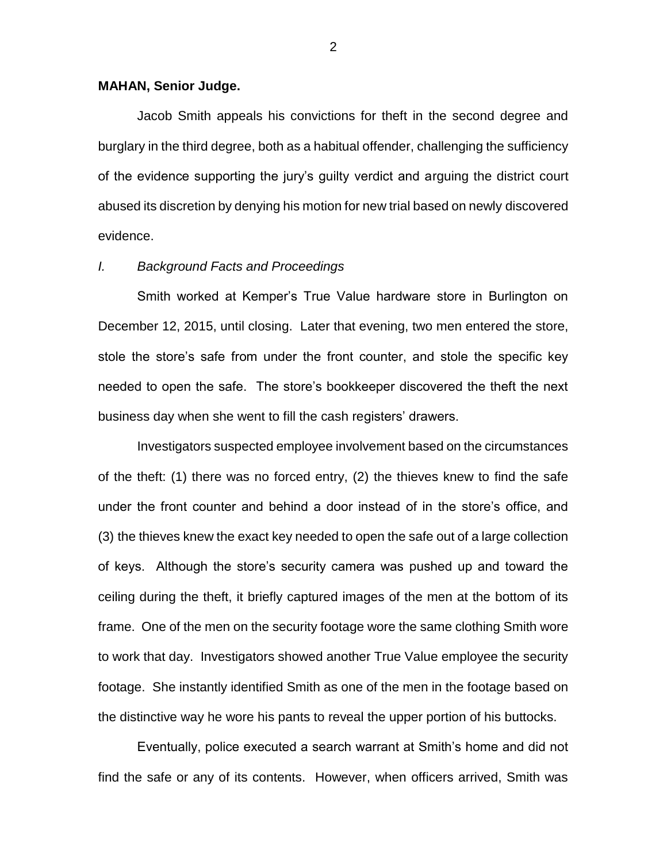#### **MAHAN, Senior Judge.**

Jacob Smith appeals his convictions for theft in the second degree and burglary in the third degree, both as a habitual offender, challenging the sufficiency of the evidence supporting the jury's guilty verdict and arguing the district court abused its discretion by denying his motion for new trial based on newly discovered evidence.

#### *I. Background Facts and Proceedings*

Smith worked at Kemper's True Value hardware store in Burlington on December 12, 2015, until closing. Later that evening, two men entered the store, stole the store's safe from under the front counter, and stole the specific key needed to open the safe. The store's bookkeeper discovered the theft the next business day when she went to fill the cash registers' drawers.

Investigators suspected employee involvement based on the circumstances of the theft: (1) there was no forced entry, (2) the thieves knew to find the safe under the front counter and behind a door instead of in the store's office, and (3) the thieves knew the exact key needed to open the safe out of a large collection of keys. Although the store's security camera was pushed up and toward the ceiling during the theft, it briefly captured images of the men at the bottom of its frame. One of the men on the security footage wore the same clothing Smith wore to work that day. Investigators showed another True Value employee the security footage. She instantly identified Smith as one of the men in the footage based on the distinctive way he wore his pants to reveal the upper portion of his buttocks.

Eventually, police executed a search warrant at Smith's home and did not find the safe or any of its contents. However, when officers arrived, Smith was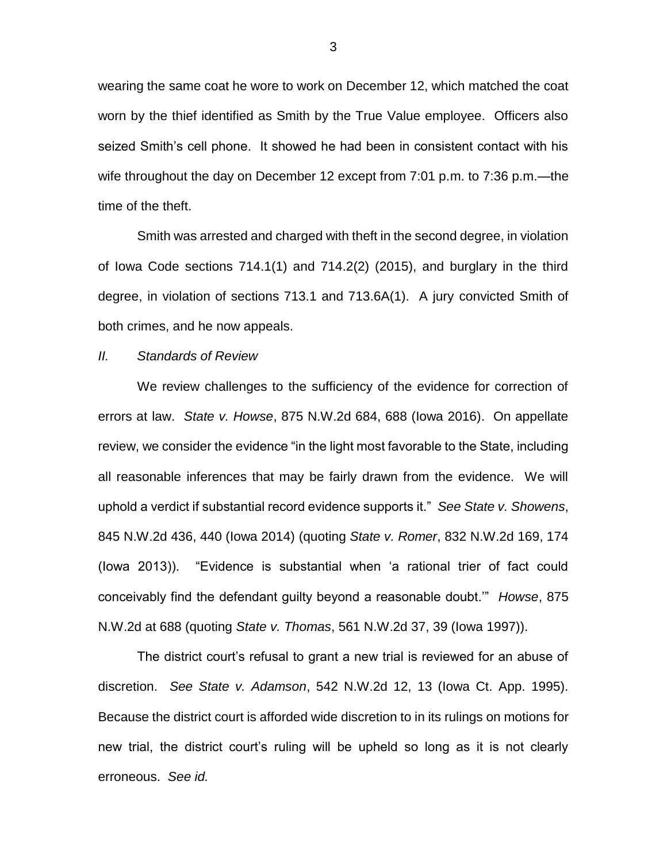wearing the same coat he wore to work on December 12, which matched the coat worn by the thief identified as Smith by the True Value employee. Officers also seized Smith's cell phone. It showed he had been in consistent contact with his wife throughout the day on December 12 except from 7:01 p.m. to 7:36 p.m.—the time of the theft.

Smith was arrested and charged with theft in the second degree, in violation of Iowa Code sections 714.1(1) and 714.2(2) (2015), and burglary in the third degree, in violation of sections 713.1 and 713.6A(1). A jury convicted Smith of both crimes, and he now appeals.

#### *II. Standards of Review*

We review challenges to the sufficiency of the evidence for correction of errors at law. *State v. Howse*, 875 N.W.2d 684, 688 (Iowa 2016). On appellate review, we consider the evidence "in the light most favorable to the State, including all reasonable inferences that may be fairly drawn from the evidence. We will uphold a verdict if substantial record evidence supports it." *See State v. Showens*, 845 N.W.2d 436, 440 (Iowa 2014) (quoting *State v. Romer*, 832 N.W.2d 169, 174 (Iowa 2013)). "Evidence is substantial when 'a rational trier of fact could conceivably find the defendant guilty beyond a reasonable doubt.'" *Howse*, 875 N.W.2d at 688 (quoting *State v. Thomas*, 561 N.W.2d 37, 39 (Iowa 1997)).

The district court's refusal to grant a new trial is reviewed for an abuse of discretion. *See State v. Adamson*, 542 N.W.2d 12, 13 (Iowa Ct. App. 1995). Because the district court is afforded wide discretion to in its rulings on motions for new trial, the district court's ruling will be upheld so long as it is not clearly erroneous. *See id.*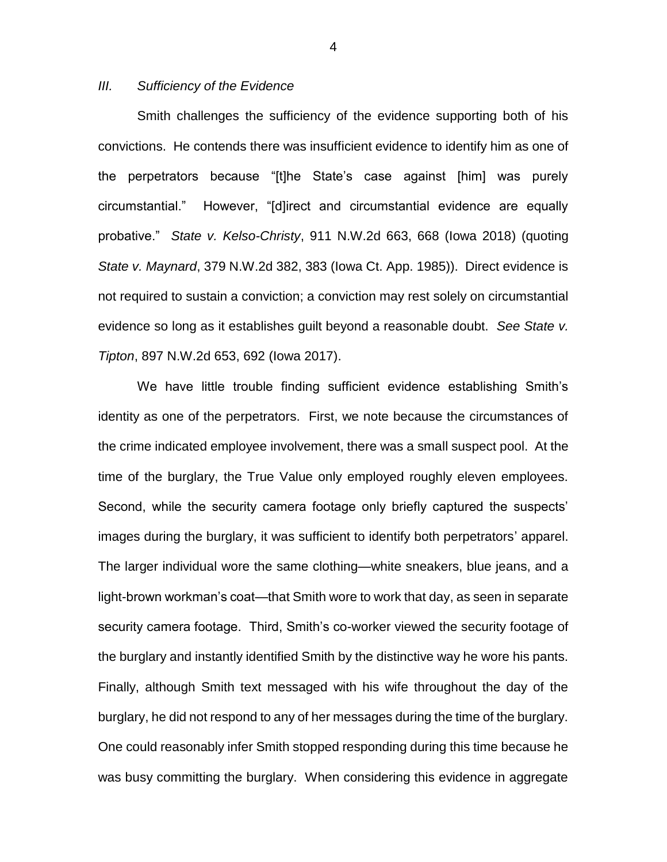### *III. Sufficiency of the Evidence*

Smith challenges the sufficiency of the evidence supporting both of his convictions. He contends there was insufficient evidence to identify him as one of the perpetrators because "[t]he State's case against [him] was purely circumstantial." However, "[d]irect and circumstantial evidence are equally probative." *State v. Kelso-Christy*, 911 N.W.2d 663, 668 (Iowa 2018) (quoting *State v. Maynard*, 379 N.W.2d 382, 383 (Iowa Ct. App. 1985)). Direct evidence is not required to sustain a conviction; a conviction may rest solely on circumstantial evidence so long as it establishes guilt beyond a reasonable doubt. *See State v. Tipton*, 897 N.W.2d 653, 692 (Iowa 2017).

We have little trouble finding sufficient evidence establishing Smith's identity as one of the perpetrators. First, we note because the circumstances of the crime indicated employee involvement, there was a small suspect pool. At the time of the burglary, the True Value only employed roughly eleven employees. Second, while the security camera footage only briefly captured the suspects' images during the burglary, it was sufficient to identify both perpetrators' apparel. The larger individual wore the same clothing—white sneakers, blue jeans, and a light-brown workman's coat—that Smith wore to work that day, as seen in separate security camera footage. Third, Smith's co-worker viewed the security footage of the burglary and instantly identified Smith by the distinctive way he wore his pants. Finally, although Smith text messaged with his wife throughout the day of the burglary, he did not respond to any of her messages during the time of the burglary. One could reasonably infer Smith stopped responding during this time because he was busy committing the burglary. When considering this evidence in aggregate

4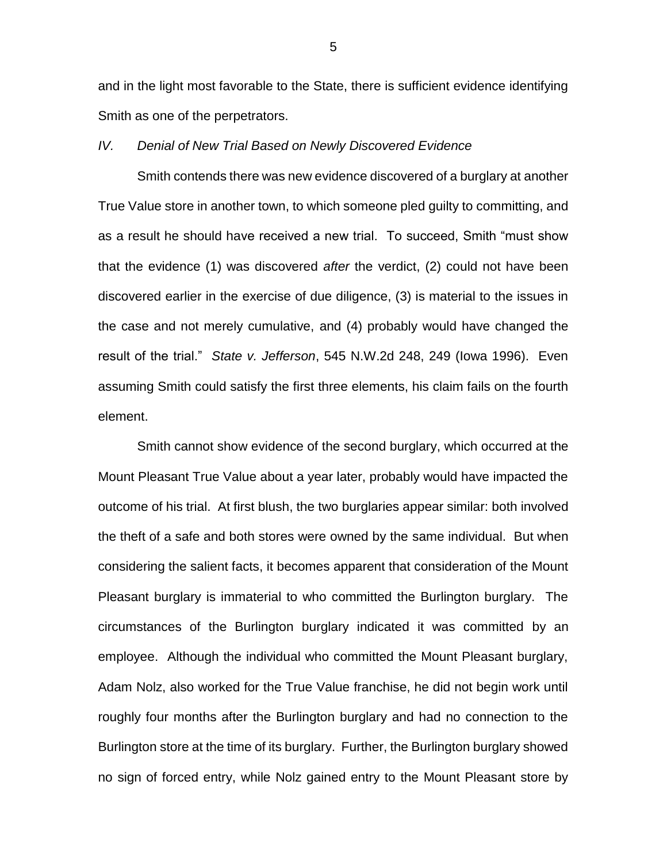and in the light most favorable to the State, there is sufficient evidence identifying Smith as one of the perpetrators.

#### *IV. Denial of New Trial Based on Newly Discovered Evidence*

Smith contends there was new evidence discovered of a burglary at another True Value store in another town, to which someone pled guilty to committing, and as a result he should have received a new trial. To succeed, Smith "must show that the evidence (1) was discovered *after* the verdict, (2) could not have been discovered earlier in the exercise of due diligence, (3) is material to the issues in the case and not merely cumulative, and (4) probably would have changed the result of the trial." *State v. Jefferson*, 545 N.W.2d 248, 249 (Iowa 1996). Even assuming Smith could satisfy the first three elements, his claim fails on the fourth element.

Smith cannot show evidence of the second burglary, which occurred at the Mount Pleasant True Value about a year later, probably would have impacted the outcome of his trial. At first blush, the two burglaries appear similar: both involved the theft of a safe and both stores were owned by the same individual. But when considering the salient facts, it becomes apparent that consideration of the Mount Pleasant burglary is immaterial to who committed the Burlington burglary. The circumstances of the Burlington burglary indicated it was committed by an employee. Although the individual who committed the Mount Pleasant burglary, Adam Nolz, also worked for the True Value franchise, he did not begin work until roughly four months after the Burlington burglary and had no connection to the Burlington store at the time of its burglary. Further, the Burlington burglary showed no sign of forced entry, while Nolz gained entry to the Mount Pleasant store by